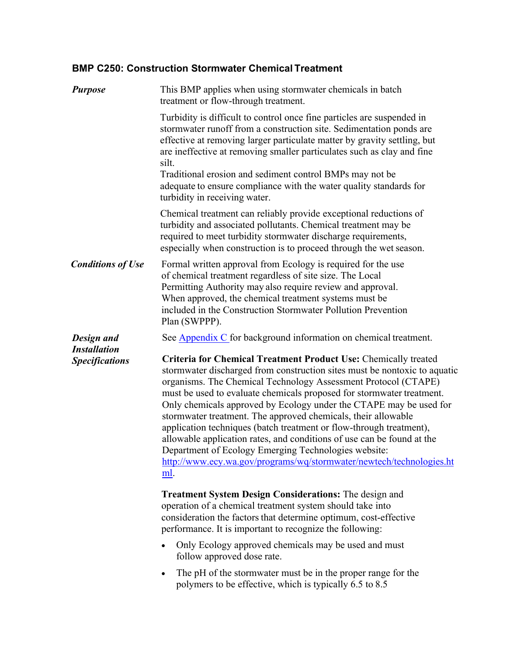# **BMP C250: Construction Stormwater Chemical Treatment**

| <b>Purpose</b>                                             | This BMP applies when using stormwater chemicals in batch<br>treatment or flow-through treatment.                                                                                                                                                                                                                                                                                                                                                                                                                                                                                                                                                                                                                                                                                                                                                                                                                                                                                                                                                                                                                                                                                                                            |
|------------------------------------------------------------|------------------------------------------------------------------------------------------------------------------------------------------------------------------------------------------------------------------------------------------------------------------------------------------------------------------------------------------------------------------------------------------------------------------------------------------------------------------------------------------------------------------------------------------------------------------------------------------------------------------------------------------------------------------------------------------------------------------------------------------------------------------------------------------------------------------------------------------------------------------------------------------------------------------------------------------------------------------------------------------------------------------------------------------------------------------------------------------------------------------------------------------------------------------------------------------------------------------------------|
|                                                            | Turbidity is difficult to control once fine particles are suspended in<br>stormwater runoff from a construction site. Sedimentation ponds are<br>effective at removing larger particulate matter by gravity settling, but<br>are ineffective at removing smaller particulates such as clay and fine<br>silt.<br>Traditional erosion and sediment control BMPs may not be<br>adequate to ensure compliance with the water quality standards for<br>turbidity in receiving water.                                                                                                                                                                                                                                                                                                                                                                                                                                                                                                                                                                                                                                                                                                                                              |
|                                                            | Chemical treatment can reliably provide exceptional reductions of<br>turbidity and associated pollutants. Chemical treatment may be<br>required to meet turbidity stormwater discharge requirements,<br>especially when construction is to proceed through the wet season.                                                                                                                                                                                                                                                                                                                                                                                                                                                                                                                                                                                                                                                                                                                                                                                                                                                                                                                                                   |
| <b>Conditions of Use</b>                                   | Formal written approval from Ecology is required for the use<br>of chemical treatment regardless of site size. The Local<br>Permitting Authority may also require review and approval.<br>When approved, the chemical treatment systems must be<br>included in the Construction Stormwater Pollution Prevention<br>Plan (SWPPP).                                                                                                                                                                                                                                                                                                                                                                                                                                                                                                                                                                                                                                                                                                                                                                                                                                                                                             |
| Design and<br><b>Installation</b><br><b>Specifications</b> | See <b>Appendix C</b> for background information on chemical treatment.<br><b>Criteria for Chemical Treatment Product Use: Chemically treated</b><br>stormwater discharged from construction sites must be nontoxic to aquatic<br>organisms. The Chemical Technology Assessment Protocol (CTAPE)<br>must be used to evaluate chemicals proposed for stormwater treatment.<br>Only chemicals approved by Ecology under the CTAPE may be used for<br>stormwater treatment. The approved chemicals, their allowable<br>application techniques (batch treatment or flow-through treatment),<br>allowable application rates, and conditions of use can be found at the<br>Department of Ecology Emerging Technologies website:<br>http://www.ecy.wa.gov/programs/wq/stormwater/newtech/technologies.ht<br>ml.<br><b>Treatment System Design Considerations:</b> The design and<br>operation of a chemical treatment system should take into<br>consideration the factors that determine optimum, cost-effective<br>performance. It is important to recognize the following:<br>Only Ecology approved chemicals may be used and must<br>follow approved dose rate.<br>The pH of the stormwater must be in the proper range for the |
|                                                            | $\bullet$<br>polymers to be effective, which is typically 6.5 to 8.5                                                                                                                                                                                                                                                                                                                                                                                                                                                                                                                                                                                                                                                                                                                                                                                                                                                                                                                                                                                                                                                                                                                                                         |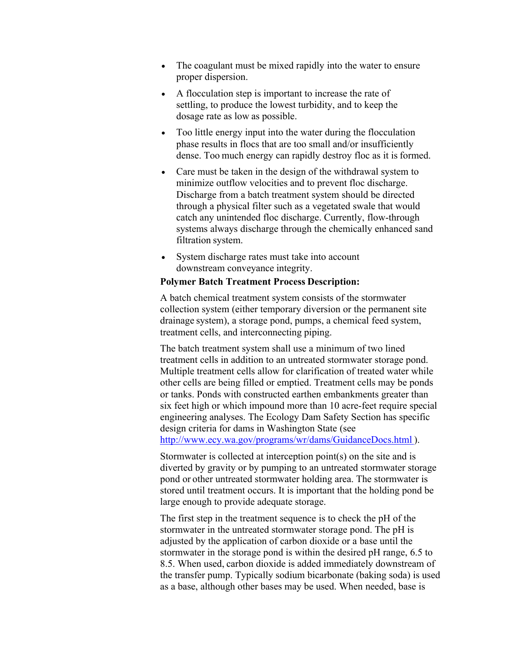- The coagulant must be mixed rapidly into the water to ensure proper dispersion.
- A flocculation step is important to increase the rate of settling, to produce the lowest turbidity, and to keep the dosage rate as low as possible.
- Too little energy input into the water during the flocculation phase results in flocs that are too small and/or insufficiently dense. Too much energy can rapidly destroy floc as it is formed.
- Care must be taken in the design of the withdrawal system to minimize outflow velocities and to prevent floc discharge. Discharge from a batch treatment system should be directed through a physical filter such as a vegetated swale that would catch any unintended floc discharge. Currently, flow-through systems always discharge through the chemically enhanced sand filtration system.
- System discharge rates must take into account downstream conveyance integrity.

## **Polymer Batch Treatment Process Description:**

A batch chemical treatment system consists of the stormwater collection system (either temporary diversion or the permanent site drainage system), a storage pond, pumps, a chemical feed system, treatment cells, and interconnecting piping.

The batch treatment system shall use a minimum of two lined treatment cells in addition to an untreated stormwater storage pond. Multiple treatment cells allow for clarification of treated water while other cells are being filled or emptied. Treatment cells may be ponds or tanks. Ponds with constructed earthen embankments greater than six feet high or which impound more than 10 acre-feet require special engineering analyses. The Ecology Dam Safety Section has specific design criteria for dams in Washington State (see <http://www.ecy.wa.gov/programs/wr/dams/GuidanceDocs.html> ).

Stormwater is collected at interception point(s) on the site and is diverted by gravity or by pumping to an untreated stormwater storage pond or other untreated stormwater holding area. The stormwater is stored until treatment occurs. It is important that the holding pond be large enough to provide adequate storage.

The first step in the treatment sequence is to check the pH of the stormwater in the untreated stormwater storage pond. The pH is adjusted by the application of carbon dioxide or a base until the stormwater in the storage pond is within the desired pH range, 6.5 to 8.5. When used, carbon dioxide is added immediately downstream of the transfer pump. Typically sodium bicarbonate (baking soda) is used as a base, although other bases may be used. When needed, base is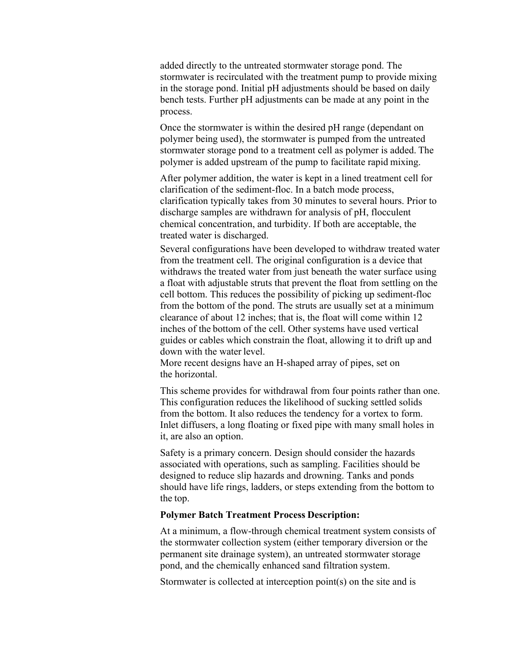added directly to the untreated stormwater storage pond. The stormwater is recirculated with the treatment pump to provide mixing in the storage pond. Initial pH adjustments should be based on daily bench tests. Further pH adjustments can be made at any point in the process.

Once the stormwater is within the desired pH range (dependant on polymer being used), the stormwater is pumped from the untreated stormwater storage pond to a treatment cell as polymer is added. The polymer is added upstream of the pump to facilitate rapid mixing.

After polymer addition, the water is kept in a lined treatment cell for clarification of the sediment-floc. In a batch mode process, clarification typically takes from 30 minutes to several hours. Prior to discharge samples are withdrawn for analysis of pH, flocculent chemical concentration, and turbidity. If both are acceptable, the treated water is discharged.

Several configurations have been developed to withdraw treated water from the treatment cell. The original configuration is a device that withdraws the treated water from just beneath the water surface using a float with adjustable struts that prevent the float from settling on the cell bottom. This reduces the possibility of picking up sediment-floc from the bottom of the pond. The struts are usually set at a minimum clearance of about 12 inches; that is, the float will come within 12 inches of the bottom of the cell. Other systems have used vertical guides or cables which constrain the float, allowing it to drift up and down with the water level.

More recent designs have an H-shaped array of pipes, set on the horizontal.

This scheme provides for withdrawal from four points rather than one. This configuration reduces the likelihood of sucking settled solids from the bottom. It also reduces the tendency for a vortex to form. Inlet diffusers, a long floating or fixed pipe with many small holes in it, are also an option.

Safety is a primary concern. Design should consider the hazards associated with operations, such as sampling. Facilities should be designed to reduce slip hazards and drowning. Tanks and ponds should have life rings, ladders, or steps extending from the bottom to the top.

## **Polymer Batch Treatment Process Description:**

At a minimum, a flow-through chemical treatment system consists of the stormwater collection system (either temporary diversion or the permanent site drainage system), an untreated stormwater storage pond, and the chemically enhanced sand filtration system.

Stormwater is collected at interception point(s) on the site and is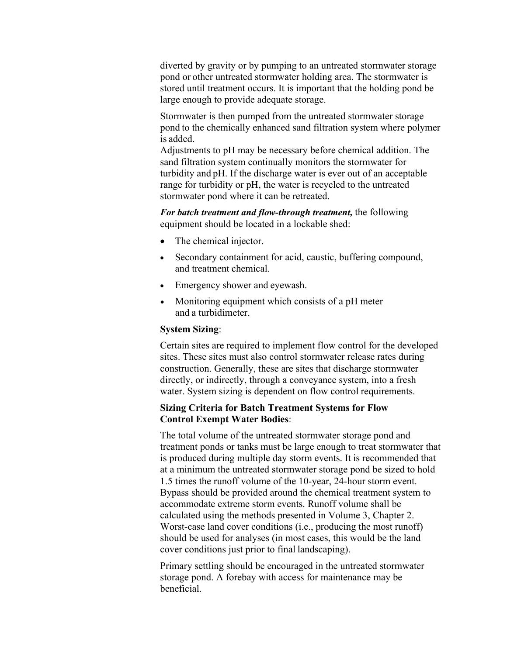diverted by gravity or by pumping to an untreated stormwater storage pond or other untreated stormwater holding area. The stormwater is stored until treatment occurs. It is important that the holding pond be large enough to provide adequate storage.

Stormwater is then pumped from the untreated stormwater storage pond to the chemically enhanced sand filtration system where polymer is added.

Adjustments to pH may be necessary before chemical addition. The sand filtration system continually monitors the stormwater for turbidity and pH. If the discharge water is ever out of an acceptable range for turbidity or pH, the water is recycled to the untreated stormwater pond where it can be retreated.

*For batch treatment and flow-through treatment,* the following equipment should be located in a lockable shed:

- The chemical injector.
- Secondary containment for acid, caustic, buffering compound, and treatment chemical.
- Emergency shower and eyewash.
- Monitoring equipment which consists of a pH meter and a turbidimeter.

## **System Sizing**:

Certain sites are required to implement flow control for the developed sites. These sites must also control stormwater release rates during construction. Generally, these are sites that discharge stormwater directly, or indirectly, through a conveyance system, into a fresh water. System sizing is dependent on flow control requirements.

#### **Sizing Criteria for Batch Treatment Systems for Flow Control Exempt Water Bodies**:

The total volume of the untreated stormwater storage pond and treatment ponds or tanks must be large enough to treat stormwater that is produced during multiple day storm events. It is recommended that at a minimum the untreated stormwater storage pond be sized to hold 1.5 times the runoff volume of the 10-year, 24-hour storm event. Bypass should be provided around the chemical treatment system to accommodate extreme storm events. Runoff volume shall be calculated using the methods presented in Volume 3, Chapter 2. Worst-case land cover conditions (i.e., producing the most runoff) should be used for analyses (in most cases, this would be the land cover conditions just prior to final landscaping).

Primary settling should be encouraged in the untreated stormwater storage pond. A forebay with access for maintenance may be beneficial.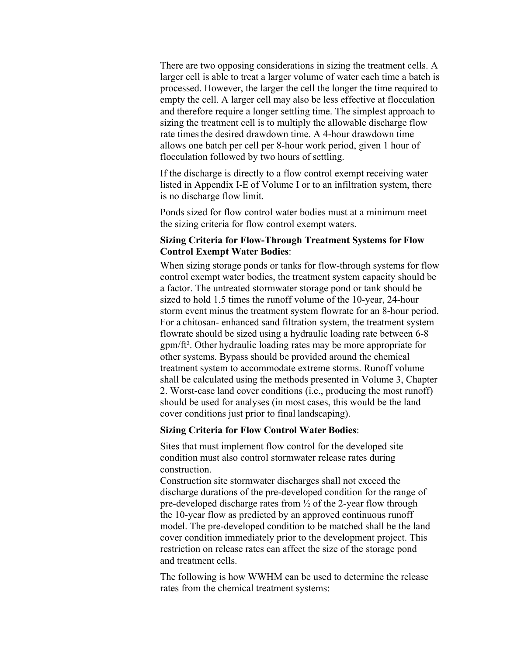There are two opposing considerations in sizing the treatment cells. A larger cell is able to treat a larger volume of water each time a batch is processed. However, the larger the cell the longer the time required to empty the cell. A larger cell may also be less effective at flocculation and therefore require a longer settling time. The simplest approach to sizing the treatment cell is to multiply the allowable discharge flow rate times the desired drawdown time. A 4-hour drawdown time allows one batch per cell per 8-hour work period, given 1 hour of flocculation followed by two hours of settling.

If the discharge is directly to a flow control exempt receiving water listed in Appendix I-E of Volume I or to an infiltration system, there is no discharge flow limit.

Ponds sized for flow control water bodies must at a minimum meet the sizing criteria for flow control exempt waters.

## **Sizing Criteria for Flow-Through Treatment Systems for Flow Control Exempt Water Bodies**:

When sizing storage ponds or tanks for flow-through systems for flow control exempt water bodies, the treatment system capacity should be a factor. The untreated stormwater storage pond or tank should be sized to hold 1.5 times the runoff volume of the 10-year, 24-hour storm event minus the treatment system flowrate for an 8-hour period. For a chitosan- enhanced sand filtration system, the treatment system flowrate should be sized using a hydraulic loading rate between 6-8 gpm/ft². Other hydraulic loading rates may be more appropriate for other systems. Bypass should be provided around the chemical treatment system to accommodate extreme storms. Runoff volume shall be calculated using the methods presented in Volume 3, Chapter 2. Worst-case land cover conditions (i.e., producing the most runoff) should be used for analyses (in most cases, this would be the land cover conditions just prior to final landscaping).

#### **Sizing Criteria for Flow Control Water Bodies**:

Sites that must implement flow control for the developed site condition must also control stormwater release rates during construction.

Construction site stormwater discharges shall not exceed the discharge durations of the pre-developed condition for the range of pre-developed discharge rates from ½ of the 2-year flow through the 10-year flow as predicted by an approved continuous runoff model. The pre-developed condition to be matched shall be the land cover condition immediately prior to the development project. This restriction on release rates can affect the size of the storage pond and treatment cells.

The following is how WWHM can be used to determine the release rates from the chemical treatment systems: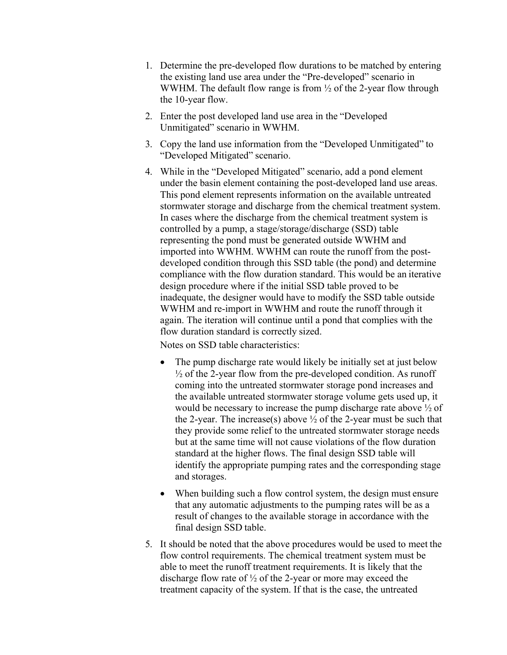- 1. Determine the pre-developed flow durations to be matched by entering the existing land use area under the "Pre-developed" scenario in WWHM. The default flow range is from  $\frac{1}{2}$  of the 2-year flow through the 10-year flow.
- 2. Enter the post developed land use area in the "Developed Unmitigated" scenario in WWHM.
- 3. Copy the land use information from the "Developed Unmitigated" to "Developed Mitigated" scenario.
- 4. While in the "Developed Mitigated" scenario, add a pond element under the basin element containing the post-developed land use areas. This pond element represents information on the available untreated stormwater storage and discharge from the chemical treatment system. In cases where the discharge from the chemical treatment system is controlled by a pump, a stage/storage/discharge (SSD) table representing the pond must be generated outside WWHM and imported into WWHM. WWHM can route the runoff from the postdeveloped condition through this SSD table (the pond) and determine compliance with the flow duration standard. This would be an iterative design procedure where if the initial SSD table proved to be inadequate, the designer would have to modify the SSD table outside WWHM and re-import in WWHM and route the runoff through it again. The iteration will continue until a pond that complies with the flow duration standard is correctly sized.

Notes on SSD table characteristics:

- The pump discharge rate would likely be initially set at just below  $\frac{1}{2}$  of the 2-year flow from the pre-developed condition. As runoff coming into the untreated stormwater storage pond increases and the available untreated stormwater storage volume gets used up, it would be necessary to increase the pump discharge rate above ½ of the 2-year. The increase(s) above  $\frac{1}{2}$  of the 2-year must be such that they provide some relief to the untreated stormwater storage needs but at the same time will not cause violations of the flow duration standard at the higher flows. The final design SSD table will identify the appropriate pumping rates and the corresponding stage and storages.
- When building such a flow control system, the design must ensure that any automatic adjustments to the pumping rates will be as a result of changes to the available storage in accordance with the final design SSD table.
- 5. It should be noted that the above procedures would be used to meet the flow control requirements. The chemical treatment system must be able to meet the runoff treatment requirements. It is likely that the discharge flow rate of ½ of the 2-year or more may exceed the treatment capacity of the system. If that is the case, the untreated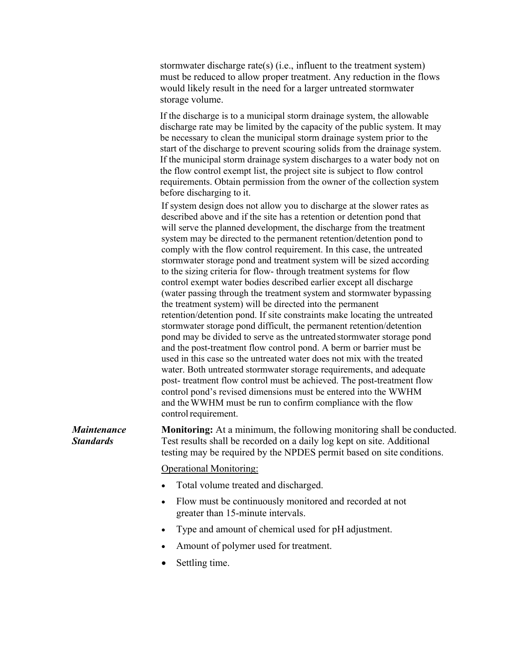stormwater discharge rate(s) (i.e., influent to the treatment system) must be reduced to allow proper treatment. Any reduction in the flows would likely result in the need for a larger untreated stormwater storage volume.

If the discharge is to a municipal storm drainage system, the allowable discharge rate may be limited by the capacity of the public system. It may be necessary to clean the municipal storm drainage system prior to the start of the discharge to prevent scouring solids from the drainage system. If the municipal storm drainage system discharges to a water body not on the flow control exempt list, the project site is subject to flow control requirements. Obtain permission from the owner of the collection system before discharging to it.

If system design does not allow you to discharge at the slower rates as described above and if the site has a retention or detention pond that will serve the planned development, the discharge from the treatment system may be directed to the permanent retention/detention pond to comply with the flow control requirement. In this case, the untreated stormwater storage pond and treatment system will be sized according to the sizing criteria for flow- through treatment systems for flow control exempt water bodies described earlier except all discharge (water passing through the treatment system and stormwater bypassing the treatment system) will be directed into the permanent retention/detention pond. If site constraints make locating the untreated stormwater storage pond difficult, the permanent retention/detention pond may be divided to serve as the untreated stormwater storage pond and the post-treatment flow control pond. A berm or barrier must be used in this case so the untreated water does not mix with the treated water. Both untreated stormwater storage requirements, and adequate post- treatment flow control must be achieved. The post-treatment flow control pond's revised dimensions must be entered into the WWHM and theWWHM must be run to confirm compliance with the flow control requirement.

*Maintenance Standards* **Monitoring:** At a minimum, the following monitoring shall be conducted. Test results shall be recorded on a daily log kept on site. Additional testing may be required by the NPDES permit based on site conditions.

Operational Monitoring:

- Total volume treated and discharged.
- Flow must be continuously monitored and recorded at not greater than 15-minute intervals.
- Type and amount of chemical used for pH adjustment.
- Amount of polymer used for treatment.
- Settling time.